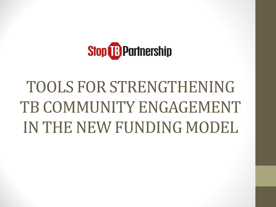

# TOOLS FOR STRENGTHENING TB COMMUNITY ENGAGEMENT IN THE NEW FUNDING MODEL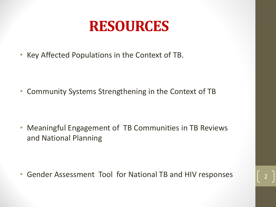#### **RESOURCES**

• Key Affected Populations in the Context of TB.

• Community Systems Strengthening in the Context of TB

• Meaningful Engagement of TB Communities in TB Reviews and National Planning

• Gender Assessment Tool for National TB and HIV responses <sup>2</sup>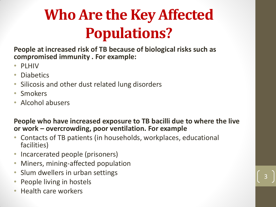## **Who Are the Key Affected Populations?**

**People at increased risk of TB because of biological risks such as compromised immunity . For example:**

- PLHIV
- Diabetics
- Silicosis and other dust related lung disorders
- Smokers
- Alcohol abusers

#### **People who have increased exposure to TB bacilli due to where the live or work – overcrowding, poor ventilation. For example**

3

- Contacts of TB patients (in households, workplaces, educational facilities)
- Incarcerated people (prisoners)
- Miners, mining-affected population
- Slum dwellers in urban settings
- People living in hostels
- Health care workers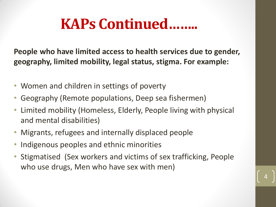### **KAPs Continued……..**

**People who have limited access to health services due to gender, geography, limited mobility, legal status, stigma. For example:**

- Women and children in settings of poverty
- Geography (Remote populations, Deep sea fishermen)
- Limited mobility (Homeless, Elderly, People living with physical and mental disabilities)
- Migrants, refugees and internally displaced people
- Indigenous peoples and ethnic minorities
- Stigmatised (Sex workers and victims of sex trafficking, People who use drugs, Men who have sex with men)

4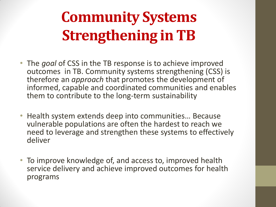## **Community Systems Strengthening in TB**

- The *goal* of CSS in the TB response is to achieve improved outcomes in TB. Community systems strengthening (CSS) is therefore an *approach* that promotes the development of informed, capable and coordinated communities and enables them to contribute to the long-term sustainability
- Health system extends deep into communities… Because vulnerable populations are often the hardest to reach we need to leverage and strengthen these systems to effectively deliver
- To improve knowledge of, and access to, improved health service delivery and achieve improved outcomes for health programs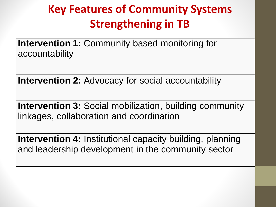#### **Key Features of Community Systems Strengthening in TB**

**Intervention 1: Community based monitoring for** accountability

**Intervention 2: Advocacy for social accountability** 

**Intervention 3:** Social mobilization, building community linkages, collaboration and coordination

**Intervention 4:** Institutional capacity building, planning and leadership development in the community sector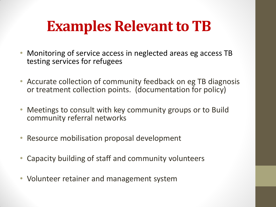## **Examples Relevant to TB**

- Monitoring of service access in neglected areas eg access TB testing services for refugees
- Accurate collection of community feedback on eg TB diagnosis or treatment collection points. (documentation for policy)
- Meetings to consult with key community groups or to Build community referral networks
- Resource mobilisation proposal development
- Capacity building of staff and community volunteers
- Volunteer retainer and management system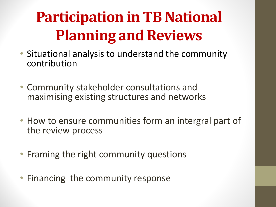## **Participation in TB National Planning and Reviews**

- Situational analysis to understand the community contribution
- Community stakeholder consultations and maximising existing structures and networks
- How to ensure communities form an intergral part of the review process
- Framing the right community questions
- Financing the community response